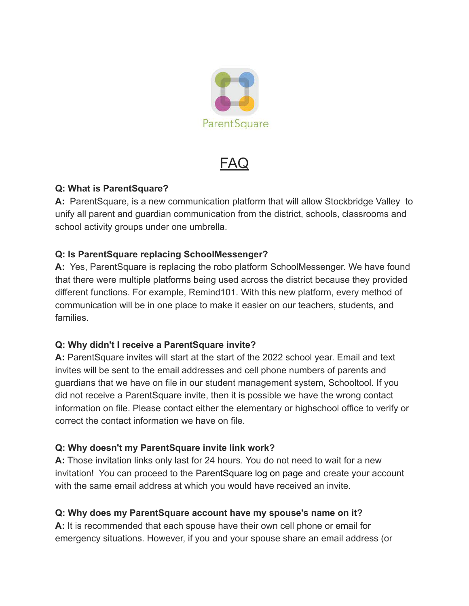

FAQ

#### **Q: What is ParentSquare?**

**A:** ParentSquare, is a new communication platform that will allow Stockbridge Valley to unify all parent and guardian communication from the district, schools, classrooms and school activity groups under one umbrella.

### **Q: Is ParentSquare replacing SchoolMessenger?**

**A:** Yes, ParentSquare is replacing the robo platform SchoolMessenger. We have found that there were multiple platforms being used across the district because they provided different functions. For example, Remind101. With this new platform, every method of communication will be in one place to make it easier on our teachers, students, and families.

### **Q: Why didn't I receive a ParentSquare invite?**

**A:** ParentSquare invites will start at the start of the 2022 school year. Email and text invites will be sent to the email addresses and cell phone numbers of parents and guardians that we have on file in our student management system, Schooltool. If you did not receive a ParentSquare invite, then it is possible we have the wrong contact information on file. Please contact either the elementary or highschool office to verify or correct the contact information we have on file.

### **Q: Why doesn't my ParentSquare invite link work?**

**A:** Those invitation links only last for 24 hours. You do not need to wait for a new invitation! You can proceed to the [ParentSquare log](https://www.parentsquare.com/signin) on page and create your account with the same email address at which you would have received an invite.

### **Q: Why does my ParentSquare account have my spouse's name on it?**

**A:** It is recommended that each spouse have their own cell phone or email for emergency situations. However, if you and your spouse share an email address (or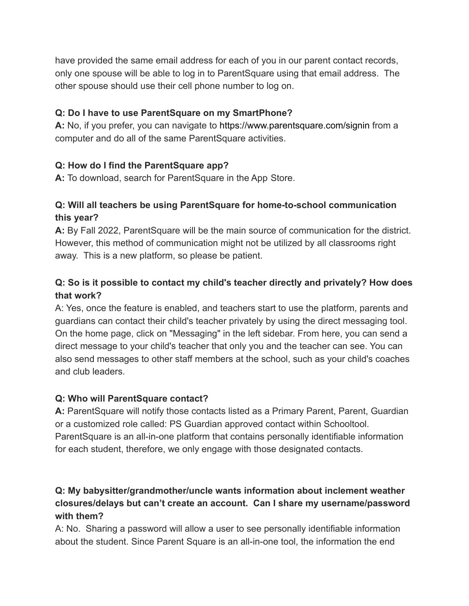have provided the same email address for each of you in our parent contact records, only one spouse will be able to log in to ParentSquare using that email address. The other spouse should use their cell phone number to log on.

### **Q: Do I have to use ParentSquare on my SmartPhone?**

**A:** No, if you prefer, you can navigate to <https://www.parentsquare.com/signin> from a computer and do all of the same ParentSquare activities.

### **Q: How do I find the ParentSquare app?**

**A:** To download, search for ParentSquare in the App Store.

# **Q: Will all teachers be using ParentSquare for home-to-school communication this year?**

**A:** By Fall 2022, ParentSquare will be the main source of communication for the district. However, this method of communication might not be utilized by all classrooms right away. This is a new platform, so please be patient.

# **Q: So is it possible to contact my child's teacher directly and privately? How does that work?**

A: Yes, once the feature is enabled, and teachers start to use the platform, parents and guardians can contact their child's teacher privately by using the direct messaging tool. On the home page, click on "Messaging" in the left sidebar. From here, you can send a direct message to your child's teacher that only you and the teacher can see. You can also send messages to other staff members at the school, such as your child's coaches and club leaders[.](https://parentsquare.zendesk.com/hc/en-us/articles/204215089-Send-a-private-or-group-message-)

### **Q: Who will ParentSquare contact?**

**A:** ParentSquare will notify those contacts listed as a Primary Parent, Parent, Guardian or a customized role called: PS Guardian approved contact within Schooltool. ParentSquare is an all-in-one platform that contains personally identifiable information for each student, therefore, we only engage with those designated contacts.

## **Q: My babysitter/grandmother/uncle wants information about inclement weather closures/delays but can't create an account. Can I share my username/password with them?**

A: No. Sharing a password will allow a user to see personally identifiable information about the student. Since Parent Square is an all-in-one tool, the information the end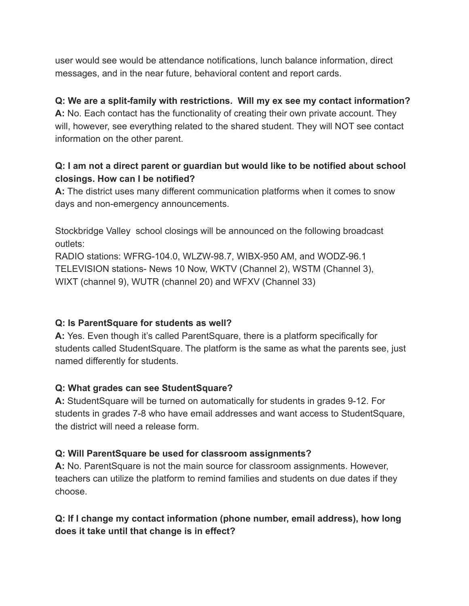user would see would be attendance notifications, lunch balance information, direct messages, and in the near future, behavioral content and report cards.

## **Q: We are a split-family with restrictions. Will my ex see my contact information?**

**A:** No. Each contact has the functionality of creating their own private account. They will, however, see everything related to the shared student. They will NOT see contact information on the other parent.

## **Q: I am not a direct parent or guardian but would like to be notified about school closings. How can I be notified?**

**A:** The district uses many different communication platforms when it comes to snow days and non-emergency announcements.

Stockbridge Valley school closings will be announced on the following broadcast outlets:

RADIO stations: WFRG-104.0, WLZW-98.7, WIBX-950 AM, and WODZ-96.1 TELEVISION stations- News 10 Now, WKTV (Channel 2), WSTM (Channel 3), WIXT (channel 9), WUTR (channel 20) and WFXV (Channel 33)

### **Q: Is ParentSquare for students as well?**

**A:** Yes. Even though it's called ParentSquare, there is a platform specifically for students called StudentSquare. The platform is the same as what the parents see, just named differently for students.

### **Q: What grades can see StudentSquare?**

**A:** StudentSquare will be turned on automatically for students in grades 9-12. For students in grades 7-8 who have email addresses and want access to StudentSquare, the district will need a release form.

### **Q: Will ParentSquare be used for classroom assignments?**

**A:** No. ParentSquare is not the main source for classroom assignments. However, teachers can utilize the platform to remind families and students on due dates if they choose.

## **Q: If I change my contact information (phone number, email address), how long does it take until that change is in effect?**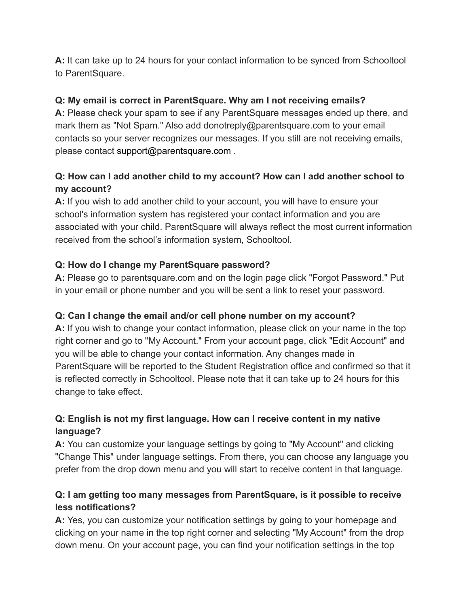**A:** It can take up to 24 hours for your contact information to be synced from Schooltool to ParentSquare.

## **Q: My email is correct in ParentSquare. Why am I not receiving emails?**

**A:** Please check your spam to see if any ParentSquare messages ended up there, and mark them as "Not Spam." Also add donotreply@parentsquare.com to your email contacts so your server recognizes our messages. If you still are not receiving emails, please contact support@parentsquare.com .

# **Q: How can I add another child to my account? How can I add another school to my account?**

**A:** If you wish to add another child to your account, you will have to ensure your school's information system has registered your contact information and you are associated with your child. ParentSquare will always reflect the most current information received from the school's information system, Schooltool.

## **Q: How do I change my ParentSquare password?**

**A:** Please go to parentsquare.com and on the login page click "Forgot Password." Put in your email or phone number and you will be sent a link to reset your password.

### **Q: Can I change the email and/or cell phone number on my account?**

**A:** If you wish to change your contact information, please click on your name in the top right corner and go to "My Account." From your account page, click "Edit Account" and you will be able to change your contact information. Any changes made in ParentSquare will be reported to the Student Registration office and confirmed so that it is reflected correctly in Schooltool. Please note that it can take up to 24 hours for this change to take effect.

# **Q: English is not my first language. How can I receive content in my native language?**

**A:** You can customize your language settings by going to "My Account" and clicking "Change This" under language settings. From there, you can choose any language you prefer from the drop down menu and you will start to receive content in that language.

# **Q: I am getting too many messages from ParentSquare, is it possible to receive less notifications?**

**A:** Yes, you can customize your notification settings by going to your homepage and clicking on your name in the top right corner and selecting "My Account" from the drop down menu. On your account page, you can find your notification settings in the top